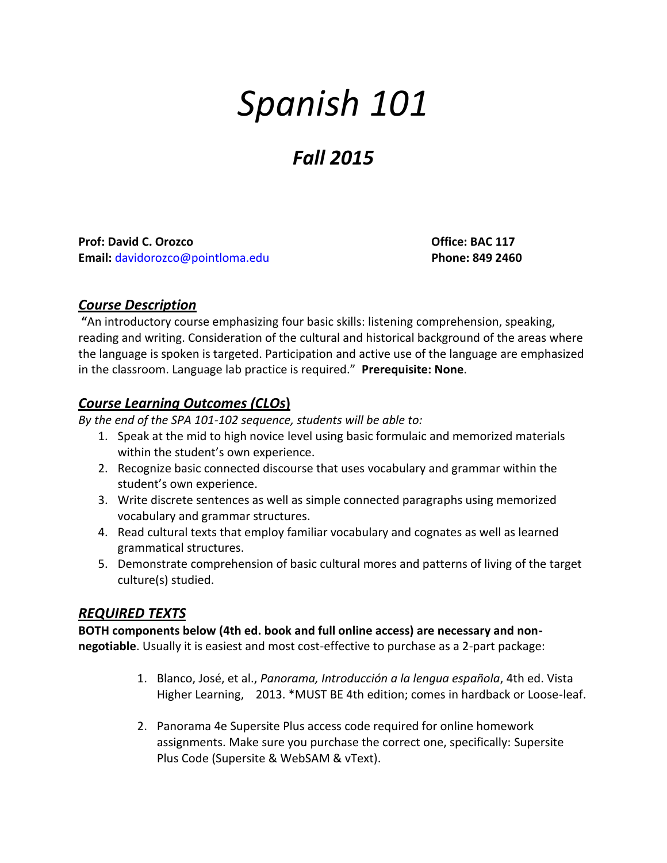# *Spanish 101*

# *Fall 2015*

**Prof: David C. Orozco Office: BAC 117 Email:** [davidorozco@pointloma.edu](mailto:davidorozco@pointloma.edu) **Phone: 849 2460**

#### *Course Description*

**"**An introductory course emphasizing four basic skills: listening comprehension, speaking, reading and writing. Consideration of the cultural and historical background of the areas where the language is spoken is targeted. Participation and active use of the language are emphasized in the classroom. Language lab practice is required." **Prerequisite: None**.

# *Course Learning Outcomes (CLOs***)**

*By the end of the SPA 101-102 sequence, students will be able to:*

- 1. Speak at the mid to high novice level using basic formulaic and memorized materials within the student's own experience.
- 2. Recognize basic connected discourse that uses vocabulary and grammar within the student's own experience.
- 3. Write discrete sentences as well as simple connected paragraphs using memorized vocabulary and grammar structures.
- 4. Read cultural texts that employ familiar vocabulary and cognates as well as learned grammatical structures.
- 5. Demonstrate comprehension of basic cultural mores and patterns of living of the target culture(s) studied.

# *REQUIRED TEXTS*

**BOTH components below (4th ed. book and full online access) are necessary and nonnegotiable**. Usually it is easiest and most cost-effective to purchase as a 2-part package:

- 1. Blanco, José, et al., *Panorama, Introducción a la lengua española*, 4th ed. Vista Higher Learning, 2013. \*MUST BE 4th edition; comes in hardback or Loose-leaf.
- 2. Panorama 4e Supersite Plus access code required for online homework assignments. Make sure you purchase the correct one, specifically: Supersite Plus Code (Supersite & WebSAM & vText).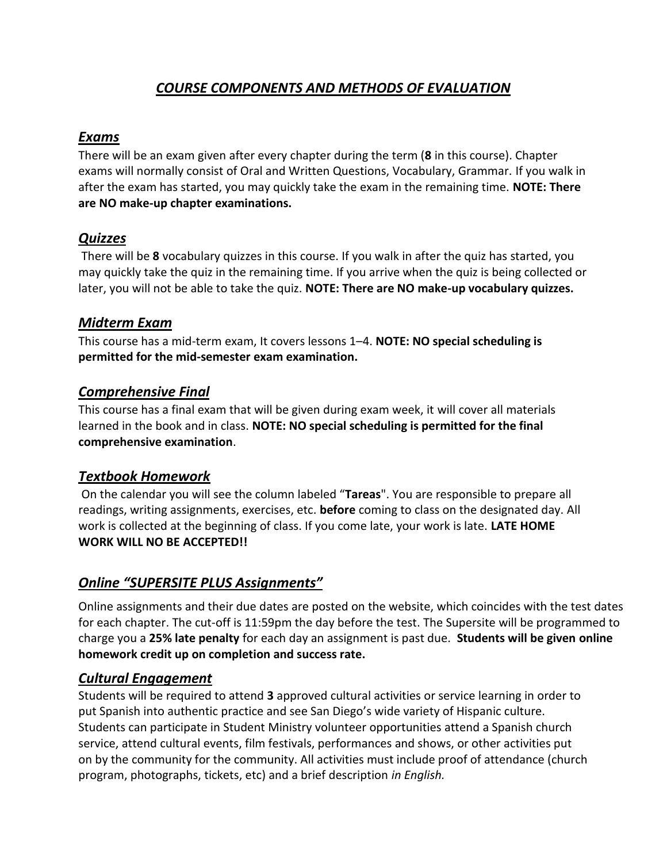# *COURSE COMPONENTS AND METHODS OF EVALUATION*

# *Exams*

There will be an exam given after every chapter during the term (**8** in this course). Chapter exams will normally consist of Oral and Written Questions, Vocabulary, Grammar. If you walk in after the exam has started, you may quickly take the exam in the remaining time. **NOTE: There are NO make-up chapter examinations.** 

# *Quizzes*

There will be **8** vocabulary quizzes in this course. If you walk in after the quiz has started, you may quickly take the quiz in the remaining time. If you arrive when the quiz is being collected or later, you will not be able to take the quiz. **NOTE: There are NO make-up vocabulary quizzes.**

#### *Midterm Exam*

This course has a mid-term exam, It covers lessons 1–4. **NOTE: NO special scheduling is permitted for the mid-semester exam examination.**

#### *Comprehensive Final*

This course has a final exam that will be given during exam week, it will cover all materials learned in the book and in class. **NOTE: NO special scheduling is permitted for the final comprehensive examination**.

#### *Textbook Homework*

On the calendar you will see the column labeled "**Tareas**". You are responsible to prepare all readings, writing assignments, exercises, etc. **before** coming to class on the designated day. All work is collected at the beginning of class. If you come late, your work is late. **LATE HOME WORK WILL NO BE ACCEPTED!!**

# *Online "SUPERSITE PLUS Assignments"*

Online assignments and their due dates are posted on the website, which coincides with the test dates for each chapter. The cut-off is 11:59pm the day before the test. The Supersite will be programmed to charge you a **25% late penalty** for each day an assignment is past due. **Students will be given online homework credit up on completion and success rate.**

# *Cultural Engagement*

Students will be required to attend **3** approved cultural activities or service learning in order to put Spanish into authentic practice and see San Diego's wide variety of Hispanic culture. Students can participate in Student Ministry volunteer opportunities attend a Spanish church service, attend cultural events, film festivals, performances and shows, or other activities put on by the community for the community. All activities must include proof of attendance (church program, photographs, tickets, etc) and a brief description *in English.*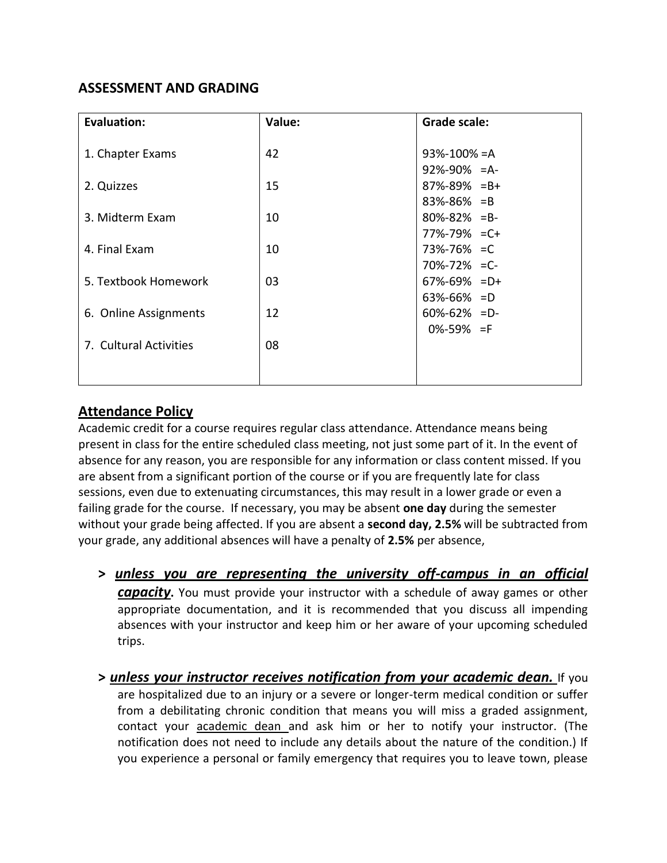# **ASSESSMENT AND GRADING**

| <b>Evaluation:</b>     | Value: | <b>Grade scale:</b> |
|------------------------|--------|---------------------|
|                        |        |                     |
| 1. Chapter Exams       | 42     | $93% - 100% = A$    |
|                        |        | $92\% - 90\% = A$   |
| 2. Quizzes             | 15     | $87\% - 89\% = B +$ |
|                        |        | $83\% - 86\% = B$   |
| 3. Midterm Exam        | 10     | $80\% - 82\% = B -$ |
|                        |        | 77%-79% = C+        |
| 4. Final Exam          | 10     | 73%-76% = C         |
|                        |        | $70\% - 72\% = C$   |
| 5. Textbook Homework   | 03     | $67\% - 69\% = D +$ |
|                        |        | $63\% - 66\% = D$   |
| 6. Online Assignments  | 12     | $60\% - 62\% = D$   |
|                        |        | $0\% - 59\% = F$    |
| 7. Cultural Activities | 08     |                     |
|                        |        |                     |
|                        |        |                     |

# **Attendance Policy**

Academic credit for a course requires regular class attendance. Attendance means being present in class for the entire scheduled class meeting, not just some part of it. In the event of absence for any reason, you are responsible for any information or class content missed. If you are absent from a significant portion of the course or if you are frequently late for class sessions, even due to extenuating circumstances, this may result in a lower grade or even a failing grade for the course. If necessary, you may be absent **one day** during the semester without your grade being affected. If you are absent a **second day, 2.5%** will be subtracted from your grade, any additional absences will have a penalty of **2.5%** per absence,

- **>** *unless you are representing the university off-campus in an official capacity***.** You must provide your instructor with a schedule of away games or other appropriate documentation, and it is recommended that you discuss all impending absences with your instructor and keep him or her aware of your upcoming scheduled trips.
- **>** *unless your instructor receives notification from your academic dean.* If you are hospitalized due to an injury or a severe or longer-term medical condition or suffer from a debilitating chronic condition that means you will miss a graded assignment, contact your academic dean and ask him or her to notify your instructor. (The notification does not need to include any details about the nature of the condition.) If you experience a personal or family emergency that requires you to leave town, please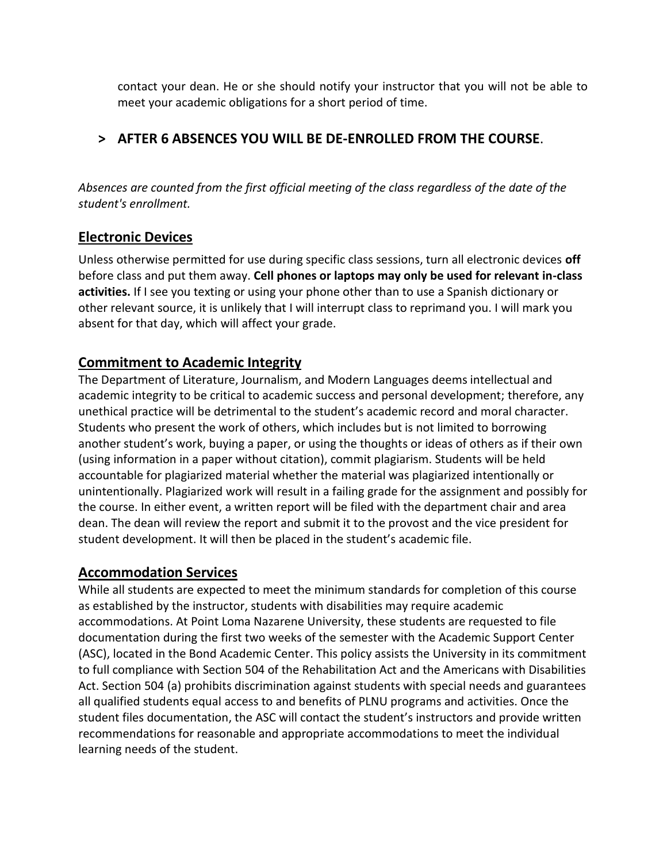contact your dean. He or she should notify your instructor that you will not be able to meet your academic obligations for a short period of time.

# **> AFTER 6 ABSENCES YOU WILL BE DE-ENROLLED FROM THE COURSE**.

*Absences are counted from the first official meeting of the class regardless of the date of the student's enrollment.*

#### **Electronic Devices**

Unless otherwise permitted for use during specific class sessions, turn all electronic devices **off** before class and put them away. **Cell phones or laptops may only be used for relevant in-class activities.** If I see you texting or using your phone other than to use a Spanish dictionary or other relevant source, it is unlikely that I will interrupt class to reprimand you. I will mark you absent for that day, which will affect your grade.

# **Commitment to Academic Integrity**

The Department of Literature, Journalism, and Modern Languages deems intellectual and academic integrity to be critical to academic success and personal development; therefore, any unethical practice will be detrimental to the student's academic record and moral character. Students who present the work of others, which includes but is not limited to borrowing another student's work, buying a paper, or using the thoughts or ideas of others as if their own (using information in a paper without citation), commit plagiarism. Students will be held accountable for plagiarized material whether the material was plagiarized intentionally or unintentionally. Plagiarized work will result in a failing grade for the assignment and possibly for the course. In either event, a written report will be filed with the department chair and area dean. The dean will review the report and submit it to the provost and the vice president for student development. It will then be placed in the student's academic file.

#### **Accommodation Services**

While all students are expected to meet the minimum standards for completion of this course as established by the instructor, students with disabilities may require academic accommodations. At Point Loma Nazarene University, these students are requested to file documentation during the first two weeks of the semester with the Academic Support Center (ASC), located in the Bond Academic Center. This policy assists the University in its commitment to full compliance with Section 504 of the Rehabilitation Act and the Americans with Disabilities Act. Section 504 (a) prohibits discrimination against students with special needs and guarantees all qualified students equal access to and benefits of PLNU programs and activities. Once the student files documentation, the ASC will contact the student's instructors and provide written recommendations for reasonable and appropriate accommodations to meet the individual learning needs of the student.